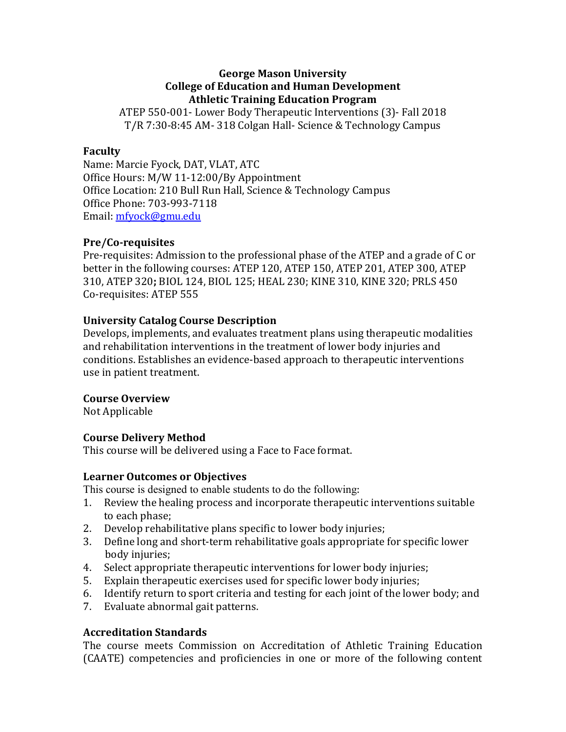#### **George Mason University College of Education and Human Development Athletic Training Education Program**

ATEP 550-001- Lower Body Therapeutic Interventions (3)- Fall 2018 T/R 7:30-8:45 AM- 318 Colgan Hall- Science & Technology Campus

#### **Faculty**

Name: Marcie Fyock, DAT, VLAT, ATC Office Hours: M/W 11-12:00/By Appointment Office Location: 210 Bull Run Hall, Science & Technology Campus Office Phone: 703-993-7118 Email: mfyock@gmu.edu

#### **Pre/Co-requisites**

Pre-requisites: Admission to the professional phase of the ATEP and a grade of C or better in the following courses: ATEP 120, ATEP 150, ATEP 201, ATEP 300, ATEP 310, ATEP 320; BIOL 124, BIOL 125; HEAL 230; KINE 310, KINE 320; PRLS 450 Co-requisites: ATEP 555

#### **University Catalog Course Description**

Develops, implements, and evaluates treatment plans using therapeutic modalities and rehabilitation interventions in the treatment of lower body injuries and conditions. Establishes an evidence-based approach to therapeutic interventions use in patient treatment.

## **Course Overview**

Not Applicable

## **Course Delivery Method**

This course will be delivered using a Face to Face format.

#### **Learner Outcomes or Objectives**

This course is designed to enable students to do the following:

- 1. Review the healing process and incorporate therapeutic interventions suitable to each phase;
- 2. Develop rehabilitative plans specific to lower body injuries;
- 3. Define long and short-term rehabilitative goals appropriate for specific lower body injuries;
- 4. Select appropriate therapeutic interventions for lower body injuries;
- 5. Explain therapeutic exercises used for specific lower body injuries;
- 6. Identify return to sport criteria and testing for each joint of the lower body; and
- 7. Evaluate abnormal gait patterns.

## **Accreditation Standards**

The course meets Commission on Accreditation of Athletic Training Education (CAATE) competencies and proficiencies in one or more of the following content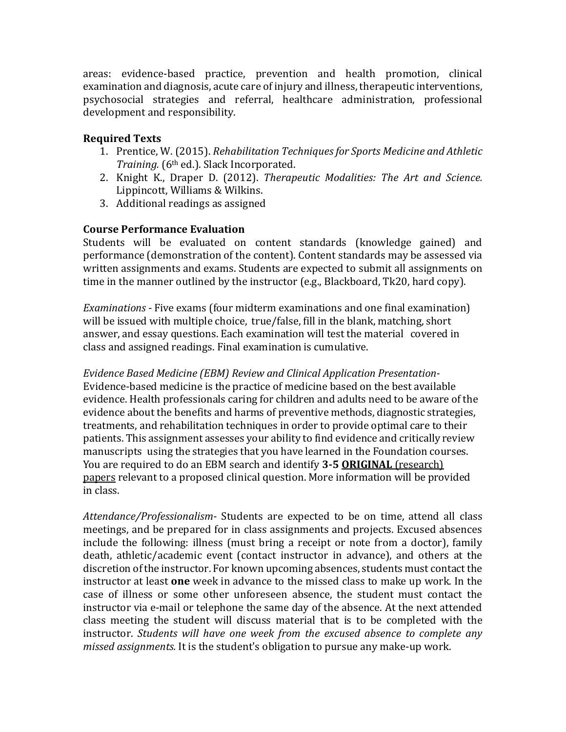areas: evidence-based practice, prevention and health promotion, clinical examination and diagnosis, acute care of injury and illness, therapeutic interventions, psychosocial strategies and referral, healthcare administration, professional development and responsibility.

# **Required Texts**

- 1. Prentice, W. (2015). *Rehabilitation Techniques for Sports Medicine and Athletic Training.* (6<sup>th</sup> ed.). Slack Incorporated.
- 2. Knight K., Draper D. (2012). *Therapeutic Modalities: The Art and Science.* Lippincott, Williams & Wilkins.
- 3. Additional readings as assigned

# **Course Performance Evaluation**

Students will be evaluated on content standards (knowledge gained) and performance (demonstration of the content). Content standards may be assessed via written assignments and exams. Students are expected to submit all assignments on time in the manner outlined by the instructor  $(e.g., Blackboard, Tk20, hard copy)$ .

*Examinations* - Five exams (four midterm examinations and one final examination) will be issued with multiple choice, true/false, fill in the blank, matching, short answer, and essay questions. Each examination will test the material covered in class and assigned readings. Final examination is cumulative.

*Evidence Based Medicine (EBM) Review and Clinical Application Presentation-*Evidence-based medicine is the practice of medicine based on the best available evidence. Health professionals caring for children and adults need to be aware of the evidence about the benefits and harms of preventive methods, diagnostic strategies, treatments, and rehabilitation techniques in order to provide optimal care to their patients. This assignment assesses your ability to find evidence and critically review manuscripts using the strategies that you have learned in the Foundation courses. You are required to do an EBM search and identify **3-5 ORIGINAL** (research) papers relevant to a proposed clinical question. More information will be provided in class.

*Attendance/Professionalism-* Students are expected to be on time, attend all class meetings, and be prepared for in class assignments and projects. Excused absences include the following: illness (must bring a receipt or note from a doctor), family death, athletic/academic event (contact instructor in advance), and others at the discretion of the instructor. For known upcoming absences, students must contact the instructor at least **one** week in advance to the missed class to make up work. In the case of illness or some other unforeseen absence, the student must contact the instructor via e-mail or telephone the same day of the absence. At the next attended class meeting the student will discuss material that is to be completed with the instructor. *Students will have one week from the excused absence to complete any missed assignments.* It is the student's obligation to pursue any make-up work.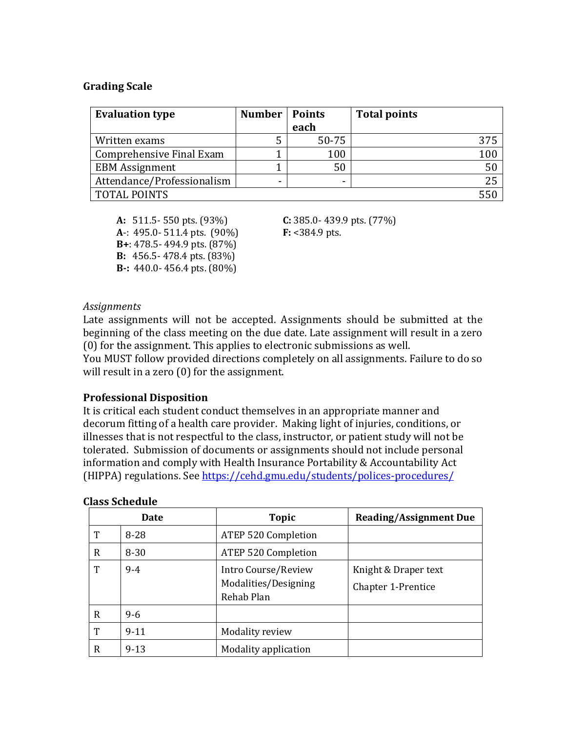#### **Grading Scale**

| <b>Evaluation type</b>     | <b>Number</b>            | <b>Points</b><br>each | <b>Total points</b> |
|----------------------------|--------------------------|-----------------------|---------------------|
| Written exams              |                          | $50 - 75$             |                     |
| Comprehensive Final Exam   |                          | 100                   | 100                 |
| <b>EBM</b> Assignment      |                          | 50                    | 50                  |
| Attendance/Professionalism | $\overline{\phantom{0}}$ |                       | 25                  |
| <b>TOTAL POINTS</b>        |                          |                       |                     |

**A:** 511.5- 550 pts. (93%) **C:** 385.0- 439.9 pts. (77%) **A**-: 495.0- 511.4 pts. (90%) **F:** <384.9 pts. **B**+: 478.5- 494.9 pts. (87%) **B:** 456.5-478.4 pts. (83%) **B**-: 440.0-456.4 pts. (80%)

#### *Assignments*

Late assignments will not be accepted. Assignments should be submitted at the beginning of the class meeting on the due date. Late assignment will result in a zero  $(0)$  for the assignment. This applies to electronic submissions as well.

You MUST follow provided directions completely on all assignments. Failure to do so will result in a zero  $(0)$  for the assignment.

#### **Professional Disposition**

It is critical each student conduct themselves in an appropriate manner and decorum fitting of a health care provider. Making light of injuries, conditions, or illnesses that is not respectful to the class, instructor, or patient study will not be tolerated. Submission of documents or assignments should not include personal information and comply with Health Insurance Portability & Accountability Act (HIPPA) regulations. See https://cehd.gmu.edu/students/polices-procedures/

|   | Date     | <b>Topic</b>                                              | <b>Reading/Assignment Due</b>              |
|---|----------|-----------------------------------------------------------|--------------------------------------------|
| T | 8-28     | <b>ATEP 520 Completion</b>                                |                                            |
| R | $8 - 30$ | <b>ATEP 520 Completion</b>                                |                                            |
| T | $9 - 4$  | Intro Course/Review<br>Modalities/Designing<br>Rehab Plan | Knight & Draper text<br>Chapter 1-Prentice |
| R | $9 - 6$  |                                                           |                                            |
| T | $9 - 11$ | Modality review                                           |                                            |
| R | $9 - 13$ | Modality application                                      |                                            |

#### **Class Schedule**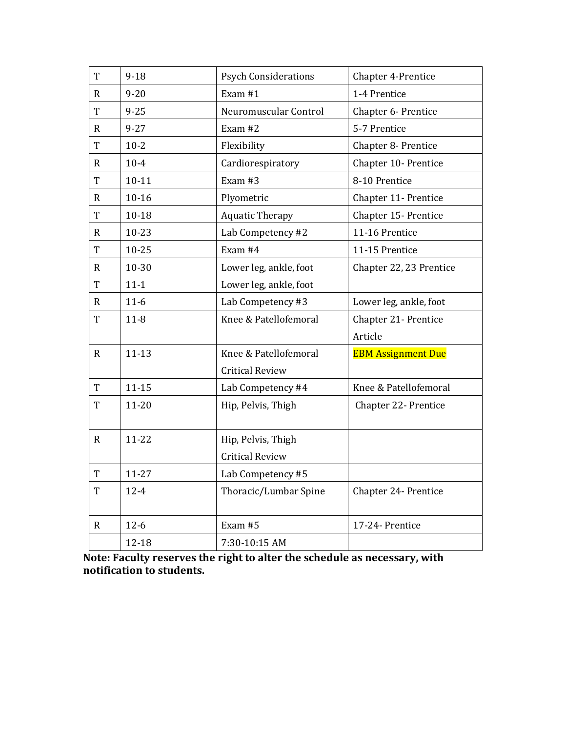| T              | $9-18$    | <b>Psych Considerations</b> | Chapter 4-Prentice        |
|----------------|-----------|-----------------------------|---------------------------|
| $\mathbf R$    | $9 - 20$  | Exam #1                     | 1-4 Prentice              |
| T              | $9 - 25$  | Neuromuscular Control       | Chapter 6- Prentice       |
| $\mathbf R$    | $9 - 27$  | Exam #2                     | 5-7 Prentice              |
| T              | $10-2$    | Flexibility                 | Chapter 8- Prentice       |
| $\mathbf R$    | $10 - 4$  | Cardiorespiratory           | Chapter 10- Prentice      |
| $\overline{T}$ | $10-11$   | Exam #3                     | 8-10 Prentice             |
| $\mathbf R$    | $10 - 16$ | Plyometric                  | Chapter 11- Prentice      |
| T              | $10 - 18$ | <b>Aquatic Therapy</b>      | Chapter 15- Prentice      |
| $\mathbf R$    | $10 - 23$ | Lab Competency #2           | 11-16 Prentice            |
| T              | $10 - 25$ | Exam $#4$                   | 11-15 Prentice            |
| $\mathbf R$    | 10-30     | Lower leg, ankle, foot      | Chapter 22, 23 Prentice   |
| T              | $11 - 1$  | Lower leg, ankle, foot      |                           |
| $\mathbf R$    | $11-6$    | Lab Competency #3           | Lower leg, ankle, foot    |
| T              | $11 - 8$  | Knee & Patellofemoral       | Chapter 21- Prentice      |
|                |           |                             | Article                   |
| $\mathbf R$    | $11 - 13$ | Knee & Patellofemoral       | <b>EBM Assignment Due</b> |
|                |           | <b>Critical Review</b>      |                           |
| T              | $11 - 15$ | Lab Competency #4           | Knee & Patellofemoral     |
| T              | $11 - 20$ | Hip, Pelvis, Thigh          | Chapter 22- Prentice      |
|                |           |                             |                           |
| $\mathbf R$    | 11-22     | Hip, Pelvis, Thigh          |                           |
|                |           | <b>Critical Review</b>      |                           |
| $\rm T$        | 11-27     | Lab Competency #5           |                           |
| T              | $12 - 4$  | Thoracic/Lumbar Spine       | Chapter 24- Prentice      |
|                |           |                             |                           |
| $\mathbf R$    | $12-6$    | Exam #5                     | 17-24- Prentice           |
|                | 12-18     | 7:30-10:15 AM               |                           |

Note: Faculty reserves the right to alter the schedule as necessary, with **notification to students.**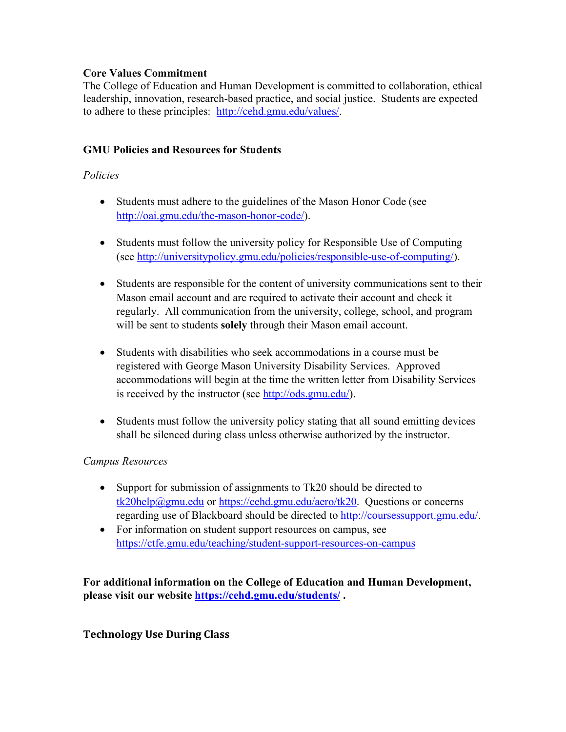# **Core Values Commitment**

The College of Education and Human Development is committed to collaboration, ethical leadership, innovation, research-based practice, and social justice. Students are expected to adhere to these principles: http://cehd.gmu.edu/values/.

# **GMU Policies and Resources for Students**

## *Policies*

- Students must adhere to the guidelines of the Mason Honor Code (see http://oai.gmu.edu/the-mason-honor-code/).
- Students must follow the university policy for Responsible Use of Computing (see http://universitypolicy.gmu.edu/policies/responsible-use-of-computing/).
- Students are responsible for the content of university communications sent to their Mason email account and are required to activate their account and check it regularly. All communication from the university, college, school, and program will be sent to students **solely** through their Mason email account.
- Students with disabilities who seek accommodations in a course must be registered with George Mason University Disability Services. Approved accommodations will begin at the time the written letter from Disability Services is received by the instructor (see http://ods.gmu.edu/).
- Students must follow the university policy stating that all sound emitting devices shall be silenced during class unless otherwise authorized by the instructor.

## *Campus Resources*

- Support for submission of assignments to Tk20 should be directed to tk20help@gmu.edu or https://cehd.gmu.edu/aero/tk20. Questions or concerns regarding use of Blackboard should be directed to http://coursessupport.gmu.edu/.
- For information on student support resources on campus, see https://ctfe.gmu.edu/teaching/student-support-resources-on-campus

**For additional information on the College of Education and Human Development, please visit our website https://cehd.gmu.edu/students/ .**

## **Technology Use During Class**